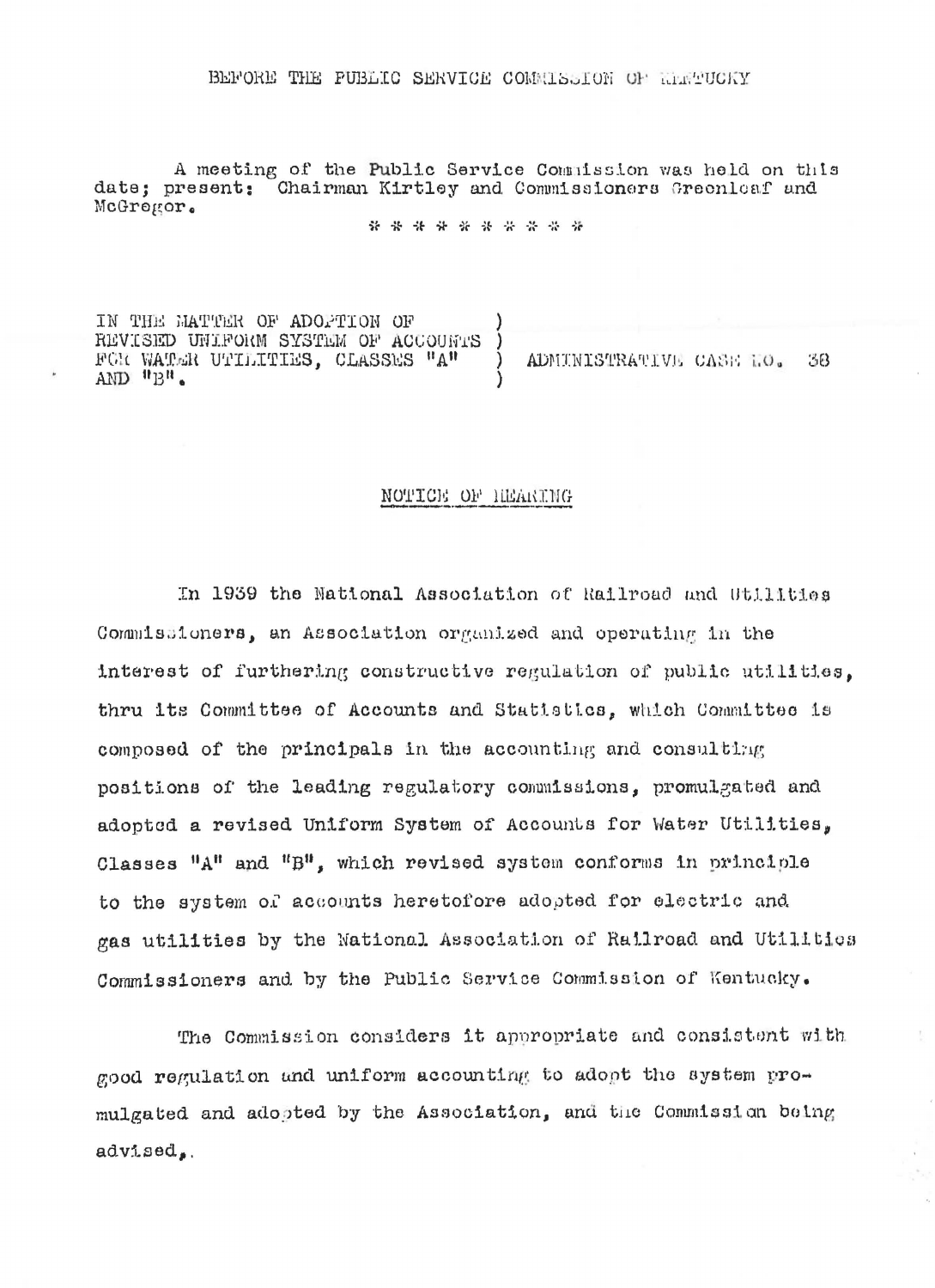## BEFORE THE FUBLIC SERVICE COMMISSION OF MARTUCKY

A meeting of the Public Service Commission was held on this date; present; Chairman Kirtley and Commissioners Greenleaf and McGregor.

\* \* \* \* \* \* \* \* \* \*

IN THE MATTER OF ADOPTION OF REVISED UNIFORM SYSTEM OF ACCOUNTS FOR WATER UTILITIES, CLASSES "A"  $\mathcal{L}$ ADMINISTRATIVE CASE NO. 38  $AND$   $"B"$ .

## NOTICE OF HEARING

In 1939 the National Association of Railroad and Utilities Commissioners, an Association organized and operating in the interest of furthering constructive regulation of public utilities. thru its Committee of Accounts and Statistics, which Committee is composed of the principals in the accounting and consulting positions of the leading regulatory commissions, promulgated and adopted a revised Uniform System of Accounts for Water Utilities, Classes "A" and "B", which revised system conforms in principle to the system of accounts heretofore adopted for electric and gas utilities by the National Association of Railroad and Utilities Commissioners and by the Public Service Commission of Kentucky.

The Commission considers it appropriate and consistent with good regulation and uniform accounting to adopt the system promulgated and adopted by the Association, and the Commission being advised.